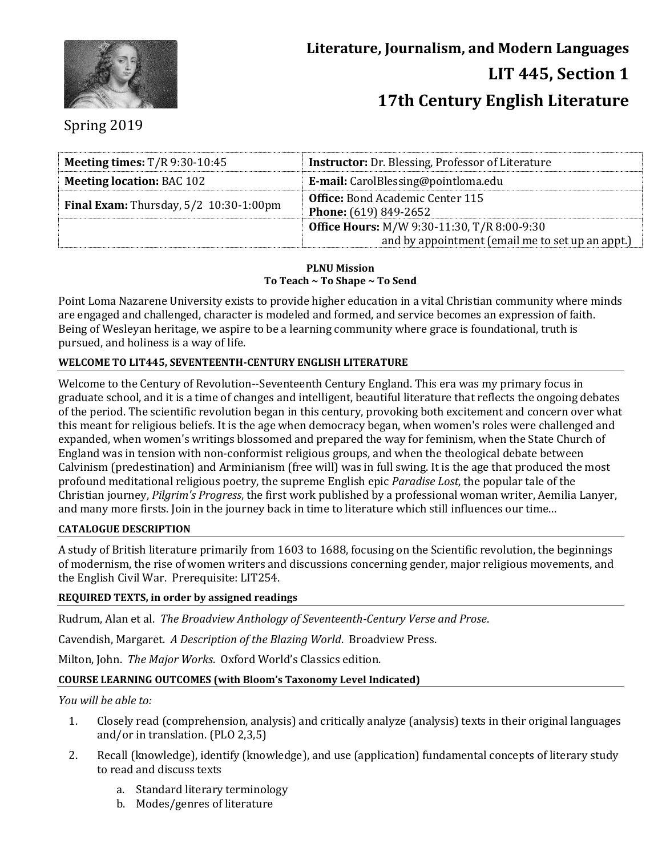

# Spring 2019

| Meeting times: $T/R$ 9:30-10:45               | <b>Instructor:</b> Dr. Blessing, Professor of Literature                                               |  |
|-----------------------------------------------|--------------------------------------------------------------------------------------------------------|--|
| <b>Meeting location: BAC 102</b>              | <b>E-mail:</b> CarolBlessing@pointloma.edu                                                             |  |
| <b>Final Exam:</b> Thursday, 5/2 10:30-1:00pm | <b>Office:</b> Bond Academic Center 115<br><b>Phone:</b> (619) 849-2652                                |  |
|                                               | <b>Office Hours: M/W 9:30-11:30, T/R 8:00-9:30</b><br>and by appointment (email me to set up an appt.) |  |

#### **PLNU Mission To Teach ~ To Shape ~ To Send**

Point Loma Nazarene University exists to provide higher education in a vital Christian community where minds are engaged and challenged, character is modeled and formed, and service becomes an expression of faith. Being of Wesleyan heritage, we aspire to be a learning community where grace is foundational, truth is pursued, and holiness is a way of life.

# **WELCOME TO LIT445, SEVENTEENTH-CENTURY ENGLISH LITERATURE**

Welcome to the Century of Revolution--Seventeenth Century England. This era was my primary focus in graduate school, and it is a time of changes and intelligent, beautiful literature that reflects the ongoing debates of the period. The scientific revolution began in this century, provoking both excitement and concern over what this meant for religious beliefs. It is the age when democracy began, when women's roles were challenged and expanded, when women's writings blossomed and prepared the way for feminism, when the State Church of England was in tension with non-conformist religious groups, and when the theological debate between Calvinism (predestination) and Arminianism (free will) was in full swing. It is the age that produced the most profound meditational religious poetry, the supreme English epic *Paradise Lost*, the popular tale of the Christian journey, *Pilgrim's Progress*, the first work published by a professional woman writer, Aemilia Lanyer, and many more firsts. Join in the journey back in time to literature which still influences our time...

## **CATALOGUE DESCRIPTION**

A study of British literature primarily from 1603 to 1688, focusing on the Scientific revolution, the beginnings of modernism, the rise of women writers and discussions concerning gender, major religious movements, and the English Civil War. Prerequisite: LIT254.

## **REQUIRED TEXTS, in order by assigned readings**

Rudrum, Alan et al. *The Broadview Anthology of Seventeenth-Century Verse and Prose*.

Cavendish, Margaret. *A Description of the Blazing World*. Broadview Press.

Milton, John. *The Major Works*. Oxford World's Classics edition.

## **COURSE LEARNING OUTCOMES (with Bloom's Taxonomy Level Indicated)**

*You will be able to:*

- 1. Closely read (comprehension, analysis) and critically analyze (analysis) texts in their original languages and/or in translation. (PLO 2,3,5)
- 2. Recall (knowledge), identify (knowledge), and use (application) fundamental concepts of literary study to read and discuss texts
	- a. Standard literary terminology
	- b. Modes/genres of literature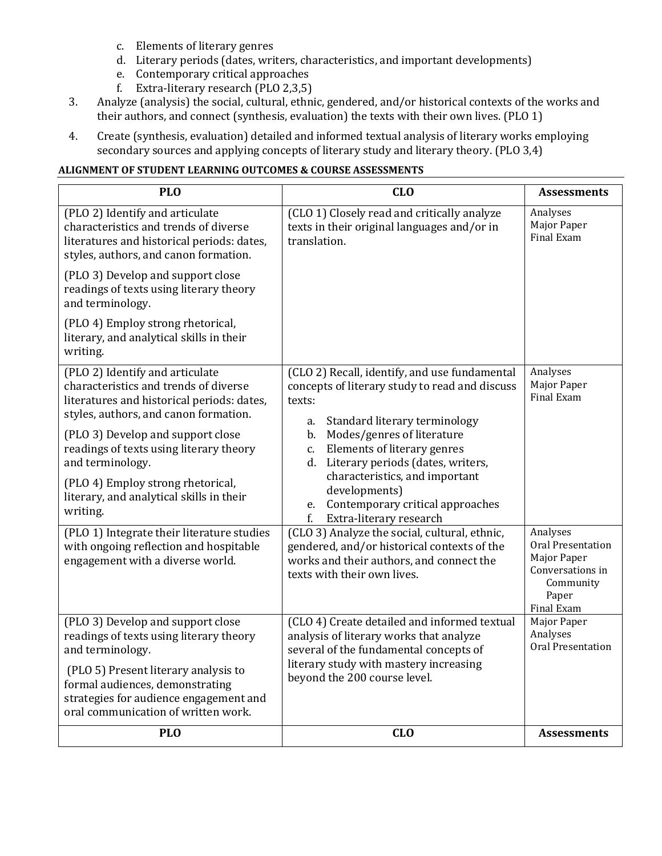- c. Elements of literary genres
- d. Literary periods (dates, writers, characteristics, and important developments)
- e. Contemporary critical approaches
- f. Extra-literary research (PLO 2,3,5)
- 3. Analyze (analysis) the social, cultural, ethnic, gendered, and/or historical contexts of the works and their authors, and connect (synthesis, evaluation) the texts with their own lives. (PLO 1)
- 4. Create (synthesis, evaluation) detailed and informed textual analysis of literary works employing secondary sources and applying concepts of literary study and literary theory. (PLO 3,4)

## **ALIGNMENT OF STUDENT LEARNING OUTCOMES & COURSE ASSESSMENTS**

| <b>PLO</b>                                                                                                                                                                                                                                                                                                                                                                                                                                                                                   | CL <sub>0</sub>                                                                                                                                                                                                                                                                                                                                                                                                                                                                                                                                      | <b>Assessments</b>                                                                                               |
|----------------------------------------------------------------------------------------------------------------------------------------------------------------------------------------------------------------------------------------------------------------------------------------------------------------------------------------------------------------------------------------------------------------------------------------------------------------------------------------------|------------------------------------------------------------------------------------------------------------------------------------------------------------------------------------------------------------------------------------------------------------------------------------------------------------------------------------------------------------------------------------------------------------------------------------------------------------------------------------------------------------------------------------------------------|------------------------------------------------------------------------------------------------------------------|
| (PLO 2) Identify and articulate<br>characteristics and trends of diverse<br>literatures and historical periods: dates,<br>styles, authors, and canon formation.                                                                                                                                                                                                                                                                                                                              | (CLO 1) Closely read and critically analyze<br>texts in their original languages and/or in<br>translation.                                                                                                                                                                                                                                                                                                                                                                                                                                           | Analyses<br>Major Paper<br>Final Exam                                                                            |
| (PLO 3) Develop and support close<br>readings of texts using literary theory<br>and terminology.                                                                                                                                                                                                                                                                                                                                                                                             |                                                                                                                                                                                                                                                                                                                                                                                                                                                                                                                                                      |                                                                                                                  |
| (PLO 4) Employ strong rhetorical,<br>literary, and analytical skills in their<br>writing.                                                                                                                                                                                                                                                                                                                                                                                                    |                                                                                                                                                                                                                                                                                                                                                                                                                                                                                                                                                      |                                                                                                                  |
| (PLO 2) Identify and articulate<br>characteristics and trends of diverse<br>literatures and historical periods: dates,<br>styles, authors, and canon formation.<br>(PLO 3) Develop and support close<br>readings of texts using literary theory<br>and terminology.<br>(PLO 4) Employ strong rhetorical,<br>literary, and analytical skills in their<br>writing.<br>(PLO 1) Integrate their literature studies<br>with ongoing reflection and hospitable<br>engagement with a diverse world. | (CLO 2) Recall, identify, and use fundamental<br>concepts of literary study to read and discuss<br>texts:<br>Standard literary terminology<br>a.<br>Modes/genres of literature<br>b.<br>Elements of literary genres<br>C.<br>Literary periods (dates, writers,<br>d.<br>characteristics, and important<br>developments)<br>e. Contemporary critical approaches<br>$f_{\cdot}$<br>Extra-literary research<br>(CLO 3) Analyze the social, cultural, ethnic,<br>gendered, and/or historical contexts of the<br>works and their authors, and connect the | Analyses<br>Major Paper<br><b>Final Exam</b><br>Analyses<br>Oral Presentation<br>Major Paper<br>Conversations in |
|                                                                                                                                                                                                                                                                                                                                                                                                                                                                                              | texts with their own lives.                                                                                                                                                                                                                                                                                                                                                                                                                                                                                                                          | Community<br>Paper<br>Final Exam                                                                                 |
| (PLO 3) Develop and support close<br>readings of texts using literary theory<br>and terminology.                                                                                                                                                                                                                                                                                                                                                                                             | (CLO 4) Create detailed and informed textual<br>analysis of literary works that analyze<br>several of the fundamental concepts of                                                                                                                                                                                                                                                                                                                                                                                                                    | Major Paper<br>Analyses<br>Oral Presentation                                                                     |
| (PLO 5) Present literary analysis to<br>formal audiences, demonstrating<br>strategies for audience engagement and<br>oral communication of written work.                                                                                                                                                                                                                                                                                                                                     | literary study with mastery increasing<br>beyond the 200 course level.                                                                                                                                                                                                                                                                                                                                                                                                                                                                               |                                                                                                                  |
| <b>PLO</b>                                                                                                                                                                                                                                                                                                                                                                                                                                                                                   | CL <sub>0</sub>                                                                                                                                                                                                                                                                                                                                                                                                                                                                                                                                      | <b>Assessments</b>                                                                                               |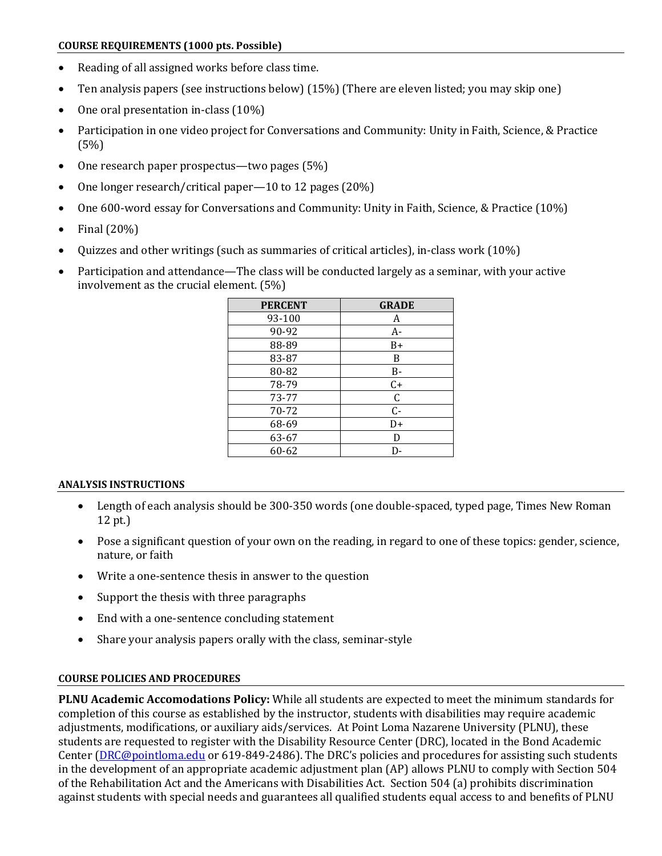#### **COURSE REQUIREMENTS (1000 pts. Possible)**

- Reading of all assigned works before class time.
- Ten analysis papers (see instructions below) (15%) (There are eleven listed; you may skip one)
- One oral presentation in-class (10%)
- Participation in one video project for Conversations and Community: Unity in Faith, Science, & Practice (5%)
- One research paper prospectus—two pages (5%)
- One longer research/critical paper—10 to 12 pages (20%)
- One 600-word essay for Conversations and Community: Unity in Faith, Science, & Practice (10%)
- $\bullet$  Final (20%)
- Quizzes and other writings (such as summaries of critical articles), in-class work (10%)
- Participation and attendance—The class will be conducted largely as a seminar, with your active involvement as the crucial element. (5%)

| <b>GRADE</b> |
|--------------|
| A            |
| A-           |
| B+           |
| B            |
| B-           |
| $C+$         |
| $\mathsf C$  |
| $C -$        |
| D+           |
| D            |
| D-           |
|              |

# **ANALYSIS INSTRUCTIONS**

- Length of each analysis should be 300-350 words (one double-spaced, typed page, Times New Roman 12 pt.)
- Pose a significant question of your own on the reading, in regard to one of these topics: gender, science, nature, or faith
- Write a one-sentence thesis in answer to the question
- Support the thesis with three paragraphs
- End with a one-sentence concluding statement
- Share your analysis papers orally with the class, seminar-style

# **COURSE POLICIES AND PROCEDURES**

**PLNU Academic Accomodations Policy:** While all students are expected to meet the minimum standards for completion of this course as established by the instructor, students with disabilities may require academic adjustments, modifications, or auxiliary aids/services. At Point Loma Nazarene University (PLNU), these students are requested to register with the Disability Resource Center (DRC), located in the Bond Academic Center [\(DRC@pointloma.edu](mailto:DRC@pointloma.edu) or 619-849-2486). The DRC's policies and procedures for assisting such students in the development of an appropriate academic adjustment plan (AP) allows PLNU to comply with Section 504 of the Rehabilitation Act and the Americans with Disabilities Act. Section 504 (a) prohibits discrimination against students with special needs and guarantees all qualified students equal access to and benefits of PLNU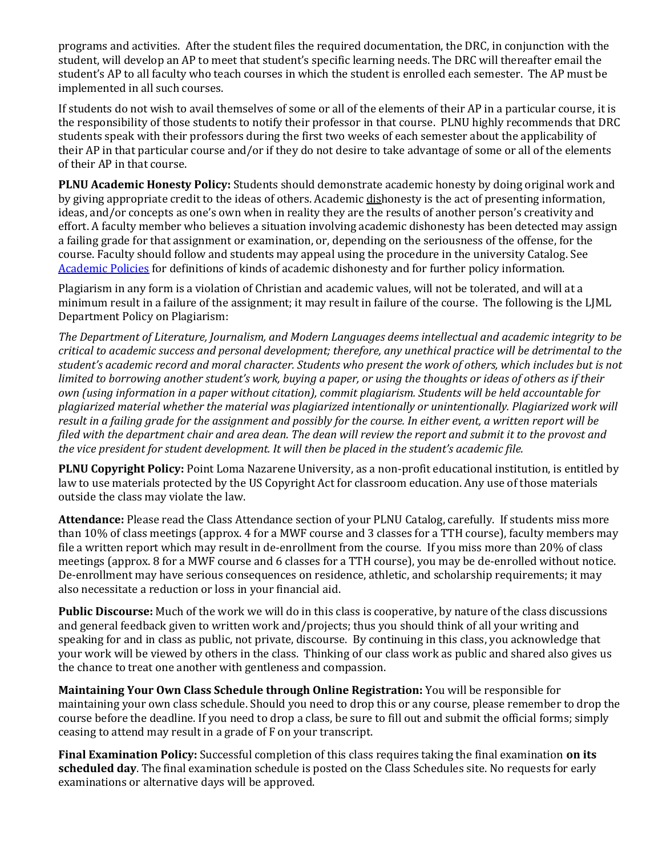programs and activities. After the student files the required documentation, the DRC, in conjunction with the student, will develop an AP to meet that student's specific learning needs. The DRC will thereafter email the student's AP to all faculty who teach courses in which the student is enrolled each semester. The AP must be implemented in all such courses.

If students do not wish to avail themselves of some or all of the elements of their AP in a particular course, it is the responsibility of those students to notify their professor in that course. PLNU highly recommends that DRC students speak with their professors during the first two weeks of each semester about the applicability of their AP in that particular course and/or if they do not desire to take advantage of some or all of the elements of their AP in that course.

**PLNU Academic Honesty Policy:** Students should demonstrate academic honesty by doing original work and by giving appropriate credit to the ideas of others. Academic dishonesty is the act of presenting information, ideas, and/or concepts as one's own when in reality they are the results of another person's creativity and effort. A faculty member who believes a situation involving academic dishonesty has been detected may assign a failing grade for that assignment or examination, or, depending on the seriousness of the offense, for the course. Faculty should follow and students may appeal using the procedure in the university Catalog. See [Academic Policies](http://catalog.pointloma.edu/content.php?catoid=18&navoid=1278) for definitions of kinds of academic dishonesty and for further policy information.

Plagiarism in any form is a violation of Christian and academic values, will not be tolerated, and will at a minimum result in a failure of the assignment; it may result in failure of the course. The following is the LJML Department Policy on Plagiarism:

*The Department of Literature, Journalism, and Modern Languages deems intellectual and academic integrity to be critical to academic success and personal development; therefore, any unethical practice will be detrimental to the student's academic record and moral character. Students who present the work of others, which includes but is not limited to borrowing another student's work, buying a paper, or using the thoughts or ideas of others as if their own (using information in a paper without citation), commit plagiarism. Students will be held accountable for plagiarized material whether the material was plagiarized intentionally or unintentionally. Plagiarized work will result in a failing grade for the assignment and possibly for the course. In either event, a written report will be filed with the department chair and area dean. The dean will review the report and submit it to the provost and the vice president for student development. It will then be placed in the student's academic file.*

**PLNU Copyright Policy:** Point Loma Nazarene University, as a non-profit educational institution, is entitled by law to use materials protected by the US Copyright Act for classroom education. Any use of those materials outside the class may violate the law.

**Attendance:** Please read the Class Attendance section of your PLNU Catalog, carefully. If students miss more than 10% of class meetings (approx. 4 for a MWF course and 3 classes for a TTH course), faculty members may file a written report which may result in de-enrollment from the course. If you miss more than 20% of class meetings (approx. 8 for a MWF course and 6 classes for a TTH course), you may be de-enrolled without notice. De-enrollment may have serious consequences on residence, athletic, and scholarship requirements; it may also necessitate a reduction or loss in your financial aid.

**Public Discourse:** Much of the work we will do in this class is cooperative, by nature of the class discussions and general feedback given to written work and/projects; thus you should think of all your writing and speaking for and in class as public, not private, discourse. By continuing in this class, you acknowledge that your work will be viewed by others in the class. Thinking of our class work as public and shared also gives us the chance to treat one another with gentleness and compassion.

**Maintaining Your Own Class Schedule through Online Registration:** You will be responsible for maintaining your own class schedule. Should you need to drop this or any course, please remember to drop the course before the deadline. If you need to drop a class, be sure to fill out and submit the official forms; simply ceasing to attend may result in a grade of F on your transcript.

**Final Examination Policy:** Successful completion of this class requires taking the final examination **on its scheduled day**. The final examination schedule is posted on the Class Schedules site. No requests for early examinations or alternative days will be approved.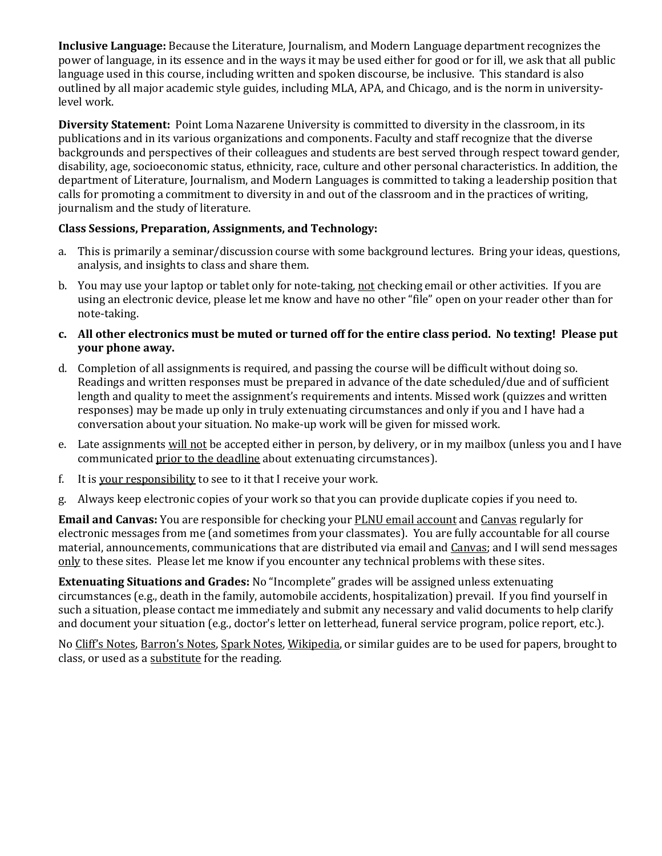**Inclusive Language:** Because the Literature, Journalism, and Modern Language department recognizes the power of language, in its essence and in the ways it may be used either for good or for ill, we ask that all public language used in this course, including written and spoken discourse, be inclusive. This standard is also outlined by all major academic style guides, including MLA, APA, and Chicago, and is the norm in universitylevel work.

**Diversity Statement:** Point Loma Nazarene University is committed to diversity in the classroom, in its publications and in its various organizations and components. Faculty and staff recognize that the diverse backgrounds and perspectives of their colleagues and students are best served through respect toward gender, disability, age, socioeconomic status, ethnicity, race, culture and other personal characteristics. In addition, the department of Literature, Journalism, and Modern Languages is committed to taking a leadership position that calls for promoting a commitment to diversity in and out of the classroom and in the practices of writing, journalism and the study of literature.

# **Class Sessions, Preparation, Assignments, and Technology:**

- a. This is primarily a seminar/discussion course with some background lectures. Bring your ideas, questions, analysis, and insights to class and share them.
- b. You may use your laptop or tablet only for note-taking, not checking email or other activities. If you are using an electronic device, please let me know and have no other "file" open on your reader other than for note-taking.
- **c. All other electronics must be muted or turned off for the entire class period. No texting! Please put your phone away.**
- d. Completion of all assignments is required, and passing the course will be difficult without doing so. Readings and written responses must be prepared in advance of the date scheduled/due and of sufficient length and quality to meet the assignment's requirements and intents. Missed work (quizzes and written responses) may be made up only in truly extenuating circumstances and only if you and I have had a conversation about your situation. No make-up work will be given for missed work.
- e. Late assignments will not be accepted either in person, by delivery, or in my mailbox (unless you and I have communicated prior to the deadline about extenuating circumstances).
- f. It is your responsibility to see to it that I receive your work.
- g. Always keep electronic copies of your work so that you can provide duplicate copies if you need to.

**Email and Canvas:** You are responsible for checking your PLNU email account and Canvas regularly for electronic messages from me (and sometimes from your classmates). You are fully accountable for all course material, announcements, communications that are distributed via email and Canvas; and I will send messages only to these sites. Please let me know if you encounter any technical problems with these sites.

**Extenuating Situations and Grades:** No "Incomplete" grades will be assigned unless extenuating circumstances (e.g., death in the family, automobile accidents, hospitalization) prevail. If you find yourself in such a situation, please contact me immediately and submit any necessary and valid documents to help clarify and document your situation (e.g., doctor's letter on letterhead, funeral service program, police report, etc.).

No Cliff's Notes, Barron's Notes, Spark Notes, Wikipedia, or similar guides are to be used for papers, brought to class, or used as a substitute for the reading.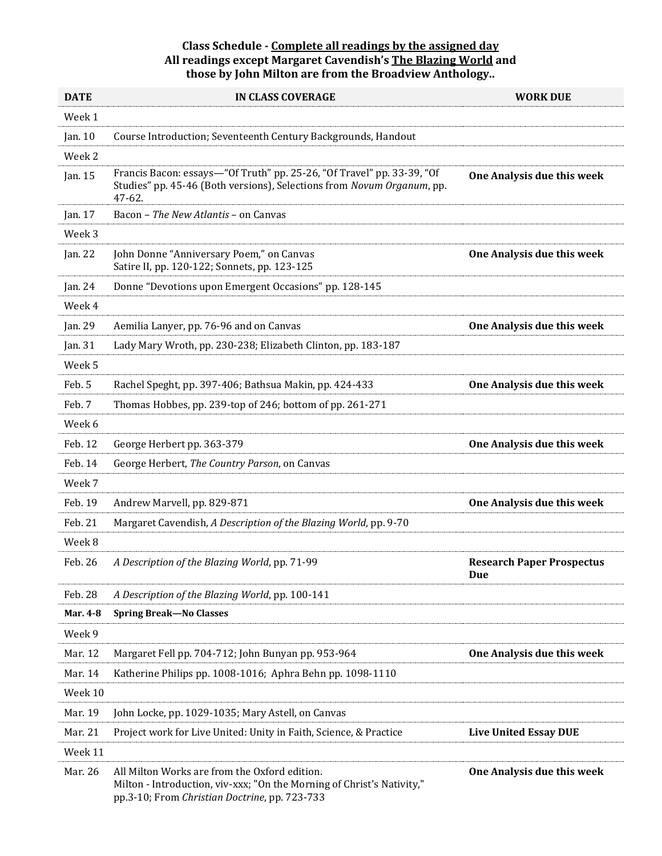### **Class Schedule - Complete all readings by the assigned day All readings except Margaret Cavendish's The Blazing World and those by John Milton are from the Broadview Anthology..**

| <b>DATE</b>       | <b>IN CLASS COVERAGE</b>                                                                                                                                                 | <b>WORK DUE</b>                         |
|-------------------|--------------------------------------------------------------------------------------------------------------------------------------------------------------------------|-----------------------------------------|
| Week 1            |                                                                                                                                                                          |                                         |
| Jan. 10           | Course Introduction; Seventeenth Century Backgrounds, Handout                                                                                                            |                                         |
| Week <sub>2</sub> |                                                                                                                                                                          |                                         |
| Jan. 15           | Francis Bacon: essays-"Of Truth" pp. 25-26, "Of Travel" pp. 33-39, "Of<br>Studies" pp. 45-46 (Both versions), Selections from Novum Organum, pp.<br>47-62.               | One Analysis due this week              |
| Jan. 17           | Bacon - The New Atlantis - on Canvas                                                                                                                                     |                                         |
| Week 3            |                                                                                                                                                                          |                                         |
| Jan. 22           | John Donne "Anniversary Poem," on Canvas<br>Satire II, pp. 120-122; Sonnets, pp. 123-125                                                                                 | One Analysis due this week              |
| Jan. 24           | Donne "Devotions upon Emergent Occasions" pp. 128-145                                                                                                                    |                                         |
| Week 4            |                                                                                                                                                                          |                                         |
| Jan. 29           | Aemilia Lanyer, pp. 76-96 and on Canvas                                                                                                                                  | One Analysis due this week              |
| Jan. 31           | Lady Mary Wroth, pp. 230-238; Elizabeth Clinton, pp. 183-187                                                                                                             |                                         |
| Week 5            |                                                                                                                                                                          |                                         |
| Feb. 5            | Rachel Speght, pp. 397-406; Bathsua Makin, pp. 424-433                                                                                                                   | One Analysis due this week              |
| Feb. 7            | Thomas Hobbes, pp. 239-top of 246; bottom of pp. 261-271                                                                                                                 |                                         |
| Week 6            |                                                                                                                                                                          |                                         |
| Feb. 12           | George Herbert pp. 363-379                                                                                                                                               | One Analysis due this week              |
| Feb. 14           | George Herbert, The Country Parson, on Canvas                                                                                                                            |                                         |
| Week 7            |                                                                                                                                                                          |                                         |
| Feb. 19           | Andrew Marvell, pp. 829-871                                                                                                                                              | One Analysis due this week              |
| Feb. 21           | Margaret Cavendish, A Description of the Blazing World, pp. 9-70                                                                                                         |                                         |
| Week 8            |                                                                                                                                                                          |                                         |
| Feb. 26           | A Description of the Blazing World, pp. 71-99                                                                                                                            | <b>Research Paper Prospectus</b><br>Due |
| Feb. 28           | A Description of the Blazing World, pp. 100-141                                                                                                                          |                                         |
| Mar. 4-8          | <b>Spring Break-No Classes</b>                                                                                                                                           |                                         |
| Week 9            |                                                                                                                                                                          |                                         |
| Mar. 12           | Margaret Fell pp. 704-712; John Bunyan pp. 953-964                                                                                                                       | One Analysis due this week              |
| Mar. 14           | Katherine Philips pp. 1008-1016; Aphra Behn pp. 1098-1110                                                                                                                |                                         |
| Week 10           |                                                                                                                                                                          |                                         |
| Mar. 19           | John Locke, pp. 1029-1035; Mary Astell, on Canvas                                                                                                                        |                                         |
| Mar. 21           | Project work for Live United: Unity in Faith, Science, & Practice                                                                                                        | <b>Live United Essay DUE</b>            |
| Week 11           |                                                                                                                                                                          |                                         |
| Mar. 26           | All Milton Works are from the Oxford edition.<br>Milton - Introduction, viv-xxx; "On the Morning of Christ's Nativity,"<br>pp.3-10; From Christian Doctrine, pp. 723-733 | One Analysis due this week              |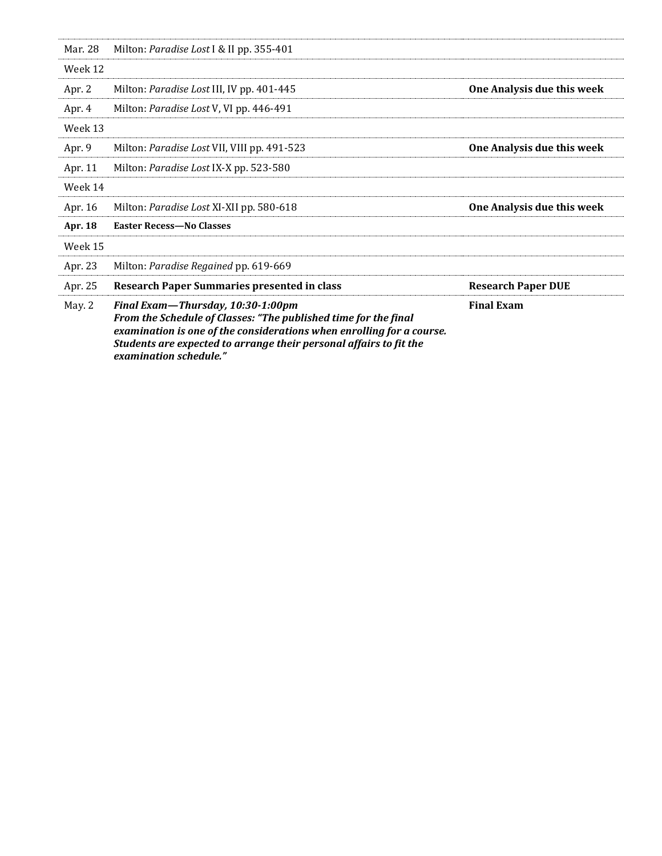|         | From the Schedule of Classes: "The published time for the final<br>examination is one of the considerations when enrolling for a course.<br>Students are expected to arrange their personal affairs to fit the<br>examination schedule." |                            |
|---------|------------------------------------------------------------------------------------------------------------------------------------------------------------------------------------------------------------------------------------------|----------------------------|
| May. 2  | Final Exam-Thursday, 10:30-1:00pm                                                                                                                                                                                                        | <b>Final Exam</b>          |
| Apr. 25 | <b>Research Paper Summaries presented in class</b>                                                                                                                                                                                       | <b>Research Paper DUE</b>  |
| Apr. 23 | Milton: Paradise Regained pp. 619-669                                                                                                                                                                                                    |                            |
| Week 15 |                                                                                                                                                                                                                                          |                            |
| Apr. 18 | <b>Easter Recess-No Classes</b>                                                                                                                                                                                                          |                            |
| Apr. 16 | Milton: Paradise Lost XI-XII pp. 580-618                                                                                                                                                                                                 | One Analysis due this week |
| Week 14 |                                                                                                                                                                                                                                          |                            |
| Apr. 11 | Milton: Paradise Lost IX-X pp. 523-580                                                                                                                                                                                                   |                            |
| Apr. 9  | Milton: <i>Paradise Lost VII</i> , VIII pp. 491-523                                                                                                                                                                                      | One Analysis due this week |
| Week 13 |                                                                                                                                                                                                                                          |                            |
| Apr. 4  | Milton: Paradise Lost V, VI pp. 446-491                                                                                                                                                                                                  |                            |
| Apr. 2  | Milton: <i>Paradise Lost III</i> , IV pp. 401-445                                                                                                                                                                                        | One Analysis due this week |
| Week 12 |                                                                                                                                                                                                                                          |                            |
| Mar. 28 | Milton: Paradise Lost I & II pp. 355-401                                                                                                                                                                                                 |                            |